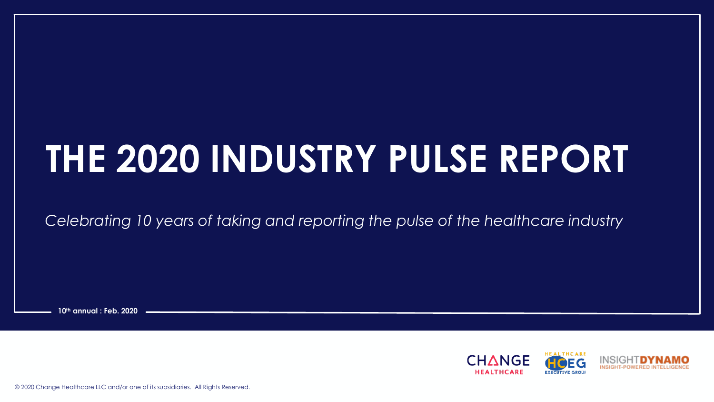# **THE 2020 INDUSTRY PULSE REPORT**

*Celebrating 10 years of taking and reporting the pulse of the healthcare industry*

**10th annual : Feb. 2020**



© 2020 Change Healthcare LLC and/or one of its subsidiaries. All Rights Reserved.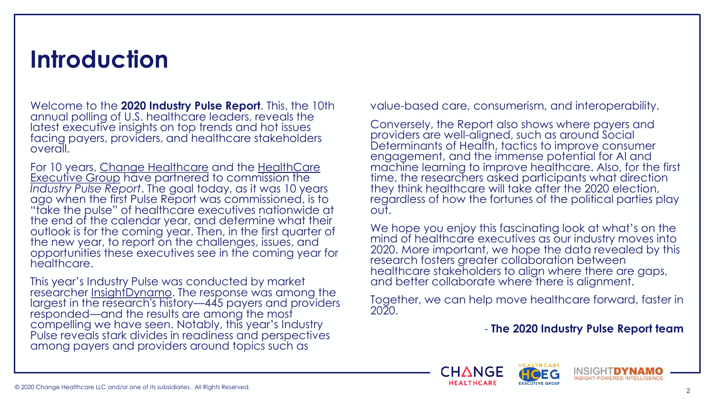#### **Introduction**

Welcome to the **2020 Industry Pulse Report**. This, the 10th annual polling of U.S. healthcare leaders, reveals the latest executive insights on top trends and hot issues facing payers, providers, and healthcare stakeholders overall.

For 10 years, [Change Healthcare](https://www.changehealthcare.com/) and the HealthCare Executive Group [have partnered to commission the](https://hceg.org/)  *Industry Pulse Report*. The goal today, as it was 10 years ago when the first Pulse Report was commissioned, is to "take the pulse" of healthcare executives nationwide at the end of the calendar year, and determine what their outlook is for the coming year. Then, in the first quarter of the new year, to report on the challenges, issues, and opportunities these executives see in the coming year for healthcare.

This year's Industry Pulse was conducted by market researcher [InsightDynamo](https://www.insightdynamo.com/). The response was among the largest in the research's history—445 payers and providers responded—and the results are among the most compelling we have seen. Notably, this year's Industry Pulse reveals stark divides in readiness and perspectives among payers and providers around topics such as

value-based care, consumerism, and interoperability.

Conversely, the Report also shows where payers and providers are well-aligned, such as around Social Determinants of Health, tactics to improve consumer engagement, and the immense potential for AI and machine learning to improve healthcare. Also, for the first time, the researchers asked participants what direction they think healthcare will take after the 2020 election, regardless of how the fortunes of the political parties play out.

We hope you enjoy this fascinating look at what's on the mind of healthcare executives as our industry moves into 2020. More important, we hope the data revealed by this research fosters greater collaboration between healthcare stakeholders to align where there are gaps, and better collaborate where there is alignment.

Together, we can help move healthcare forward, faster in 2020.

- **The 2020 Industry Pulse Report team**



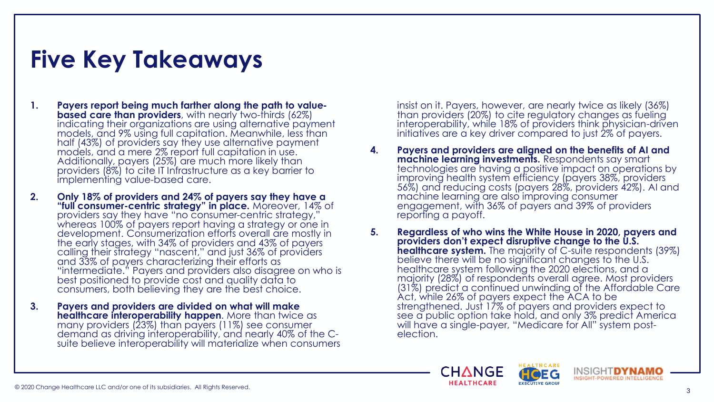# **Five Key Takeaways**

- **1. Payers report being much farther along the path to valuebased care than providers**, with nearly two-thirds (62%) indicating their organizations are using alternative payment models, and 9% using full capitation. Meanwhile, less than half (43%) of providers say they use alternative payment models, and a mere 2% report full capitation in use. Additionally, payers (25%) are much more likely than providers (8%) to cite IT Infrastructure as a key barrier to implementing value-based care.
- **2. Only 18% of providers and 24% of payers say they have a "full consumer-centric strategy" in place.** Moreover, 14% of providers say they have "no consumer-centric strategy," whereas 100% of payers report having a strategy or one in development. Consumerization efforts overall are mostly in the early stages, with 34% of providers and 43% of payers calling their strategy "nascent," and just 36% of providers and 33% of payers characterizing their efforts as "intermediate." Payers and providers also disagree on who is best positioned to provide cost and quality data to consumers, both believing they are the best choice.
- **3. Payers and providers are divided on what will make healthcare interoperability happen**. More than twice as many providers (23%) than payers (11%) see consumer demand as driving interoperability, and nearly 40% of the Csuite believe interoperability will materialize when consumers

insist on it. Payers, however, are nearly twice as likely (36%) than providers (20%) to cite regulatory changes as fueling interoperability, while 18% of providers think physician-driven initiatives are a key driver compared to just 2% of payers.

- **4. Payers and providers are aligned on the benefits of AI and machine learning investments.** Respondents say smart technologies are having a positive impact on operations by improving health system efficiency (payers 38%, providers 56%) and reducing costs (payers 28%, providers 42%). AI and machine learning are also improving consumer engagement, with 36% of payers and 39% of providers reporting a payoff.
- **5. Regardless of who wins the White House in 2020, payers and providers don't expect disruptive change to the U.S. healthcare system.** The majority of C-suite respondents (39%) believe there will be no significant changes to the U.S. healthcare system following the 2020 elections, and a majority (28%) of respondents overall agree. Most providers (31%) predict a continued unwinding of the Affordable Care Act, while 26% of payers expect the ACA to be strengthened. Just 17% of payers and providers expect to see a public option take hold, and only 3% predict America will have a single-payer, "Medicare for All" system postelection.



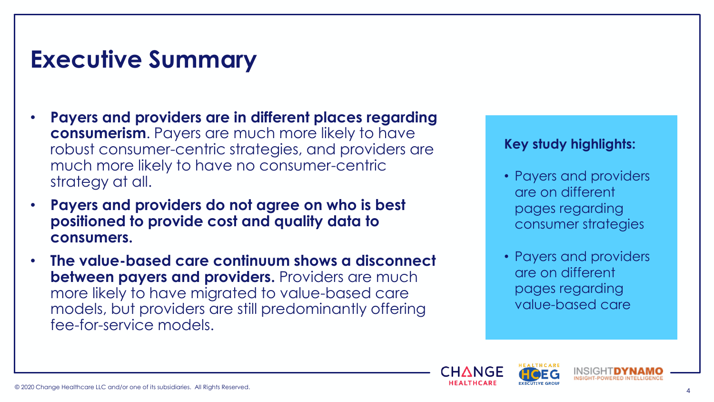### **Executive Summary**

- **Payers and providers are in different places regarding consumerism**. Payers are much more likely to have robust consumer-centric strategies, and providers are much more likely to have no consumer-centric strategy at all.
- **Payers and providers do not agree on who is best positioned to provide cost and quality data to consumers.**
- **The value-based care continuum shows a disconnect between payers and providers.** Providers are much more likely to have migrated to value-based care models, but providers are still predominantly offering fee-for-service models.

#### **Key study highlights:**

- Payers and providers are on different pages regarding consumer strategies
- Payers and providers are on different pages regarding value-based care



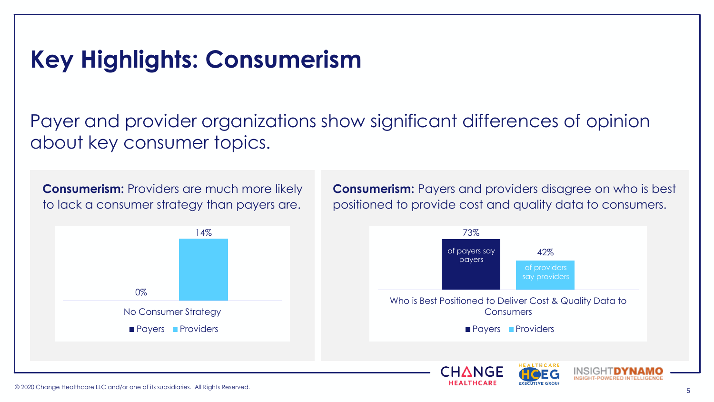## **Key Highlights: Consumerism**

Payer and provider organizations show significant differences of opinion about key consumer topics.

**Consumerism:** Providers are much more likely to lack a consumer strategy than payers are.



**Consumerism:** Payers and providers disagree on who is best positioned to provide cost and quality data to consumers.

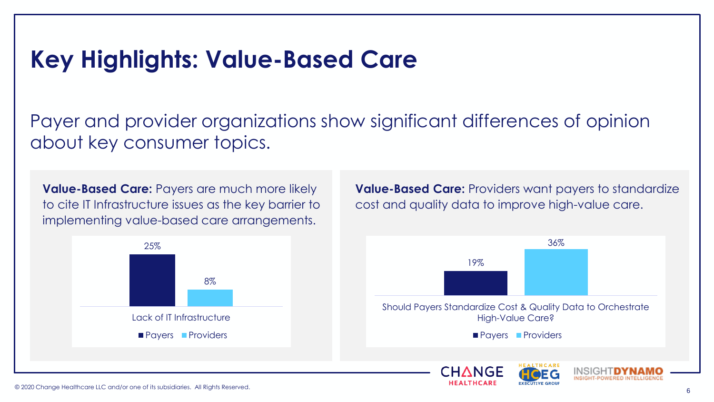#### **Key Highlights: Value-Based Care**

Payer and provider organizations show significant differences of opinion about key consumer topics.

**Value-Based Care:** Payers are much more likely to cite IT Infrastructure issues as the key barrier to implementing value-based care arrangements.



**Value-Based Care:** Providers want payers to standardize cost and quality data to improve high-value care.

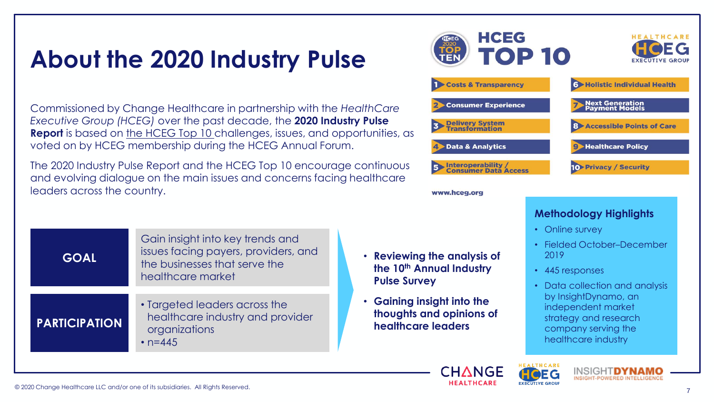#### **About the 2020 Industry Pulse**

Commissioned by Change Healthcare in partnership with the *HealthCare Executive Group (HCEG)* over the past decade, the **2020 Industry Pulse Report** is based on [the HCEG Top 10](https://hceg.org/hceg-top-ten/) challenges, issues, and opportunities, as voted on by HCEG membership during the HCEG Annual Forum.

The 2020 Industry Pulse Report and the HCEG Top 10 encourage continuous and evolving dialogue on the main issues and concerns facing healthcare leaders across the country.

| <b>GOAL</b>          | Gain insight into key trends and<br>issues facing payers, providers, and<br>the businesses that serve the<br>healthcare market |  |
|----------------------|--------------------------------------------------------------------------------------------------------------------------------|--|
| <b>PARTICIPATION</b> | • Targeted leaders across the<br>healthcare industry and provider<br>organizations<br>• $n = 445$                              |  |



#### www.hceg.org

• **Reviewing the analysis of the 10th Annual Industry** 

• **Gaining insight into the** 

**healthcare leaders**

**thoughts and opinions of** 

**Pulse Survey**

#### **Methodology Highlights**

- Online survey
- Fielded October–December 2019
- 445 responses
- Data collection and analysis by InsightDynamo, an independent market strategy and research company serving the healthcare industry



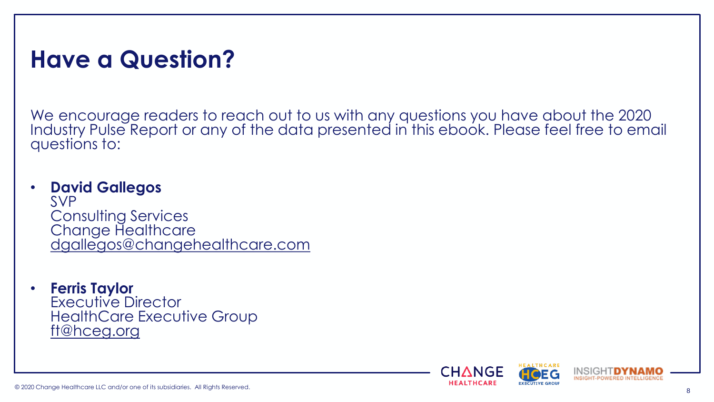#### **Have a Question?**

We encourage readers to reach out to us with any questions you have about the 2020 Industry Pulse Report or any of the data presented in this ebook. Please feel free to email questions to:

#### • **David Gallegos**

SVP Consulting Services Change Healthcare [dgallegos@changehealthcare.com](mailto:dgallegos@changehealthcare.com)

• **Ferris Taylor** Executive Director HealthCare Executive Group [ft@hceg.org](mailto:ft@hceg.org)

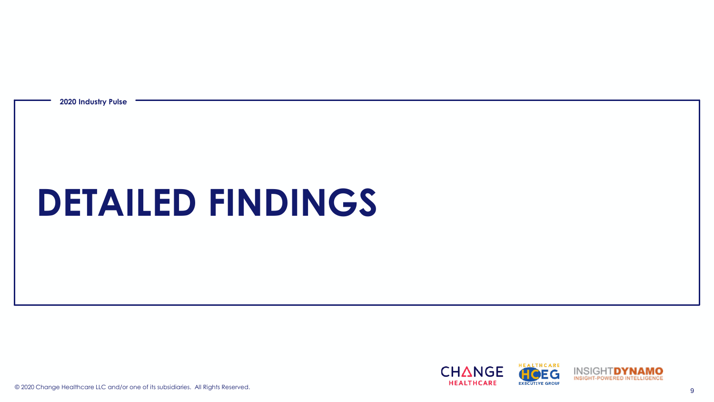**2020 Industry Pulse**

# **DETAILED FINDINGS**

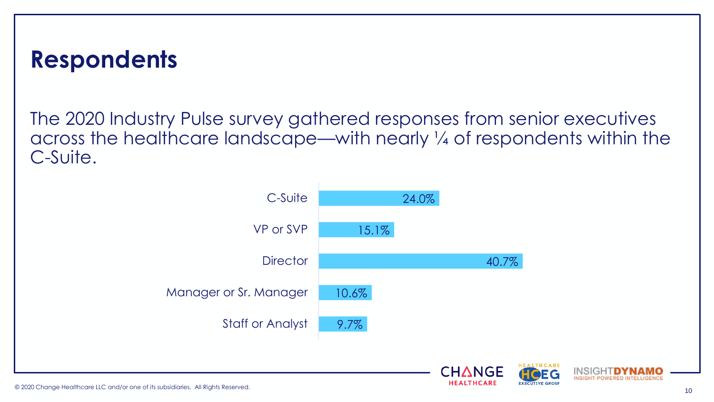#### **Respondents**

The 2020 Industry Pulse survey gathered responses from senior executives across the healthcare landscape—with nearly ¼ of respondents within the C-Suite.



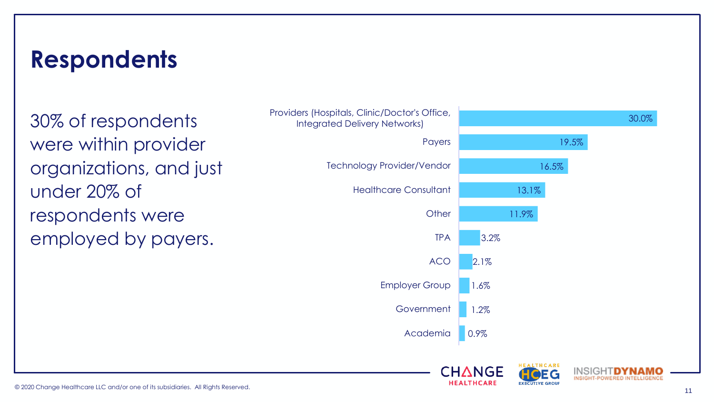#### **Respondents**

30% of respondents were within provider organizations, and just under 20% of respondents were employed by payers.



INSIGHT-POWERED INTELLIGENCE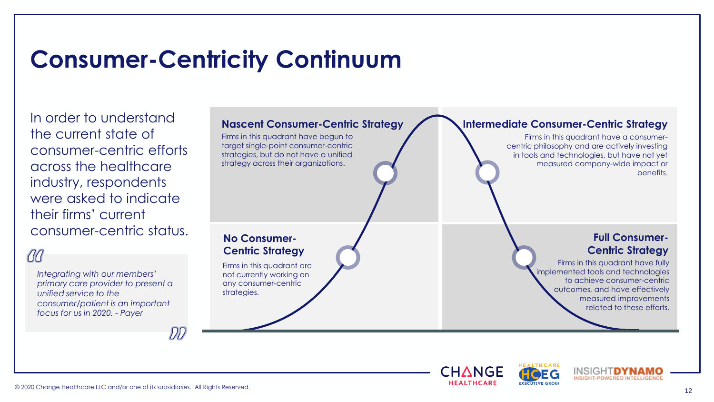# **Consumer-Centricity Continuum**

In order to understand the current state of consumer-centric efforts across the healthcare industry, respondents were asked to indicate their firms' current consumer-centric status.

#### 00

*Integrating with our members' primary care provider to present a unified service to the consumer/patient is an important focus for us in 2020. - Payer*

#### **Nascent Consumer-Centric Strategy** Firms in this quadrant have begun to target single-point consumer-centric strategies, but do not have a unified strategy across their organizations. **No Consumer-Centric Strategy** Firms in this quadrant are not currently working on any consumer-centric strategies. **Full Consumer-Centric Strategy** Firms in this quadrant have fully implemented tools and technologies to achieve consumer-centric outcomes, and have effectively measured improvements related to these efforts. **Intermediate Consumer-Centric Strategy** Firms in this quadrant have a consumercentric philosophy and are actively investing in tools and technologies, but have not yet measured company-wide impact or benefits.

CHANGE

**EXECUTIVE GROUP** 



DD

INSIGHTDYNA INSIGHT-POWERED INTELLIGENCE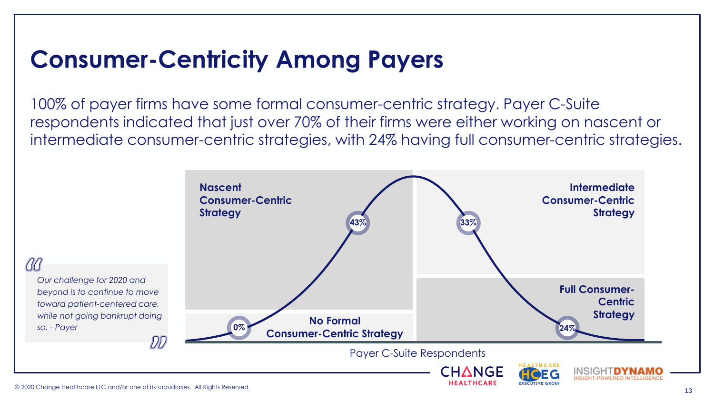### **Consumer-Centricity Among Payers**

100% of payer firms have some formal consumer-centric strategy. Payer C-Suite respondents indicated that just over 70% of their firms were either working on nascent or intermediate consumer-centric strategies, with 24% having full consumer-centric strategies.

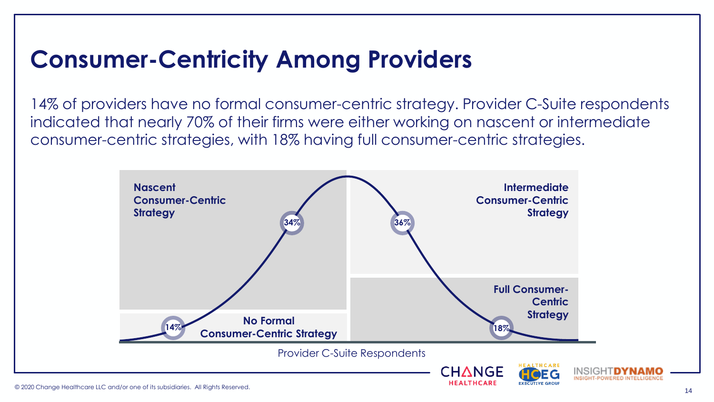### **Consumer-Centricity Among Providers**

14% of providers have no formal consumer-centric strategy. Provider C-Suite respondents indicated that nearly 70% of their firms were either working on nascent or intermediate consumer-centric strategies, with 18% having full consumer-centric strategies.

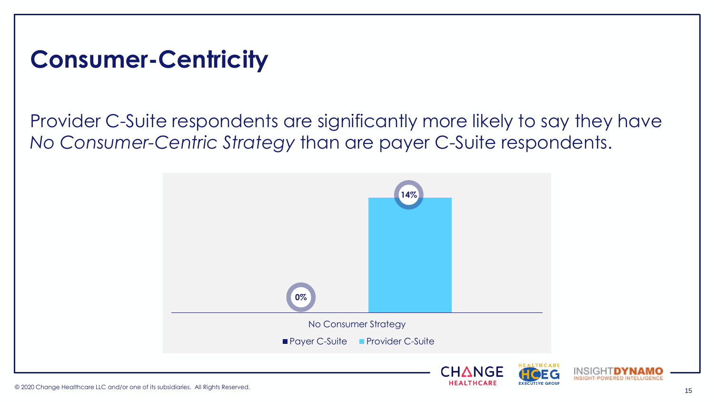#### **Consumer-Centricity**

#### Provider C-Suite respondents are significantly more likely to say they have *No Consumer-Centric Strategy* than are payer C-Suite respondents.



INSIGHTDYN

INSIGHT-POWERED INTELLIGENCE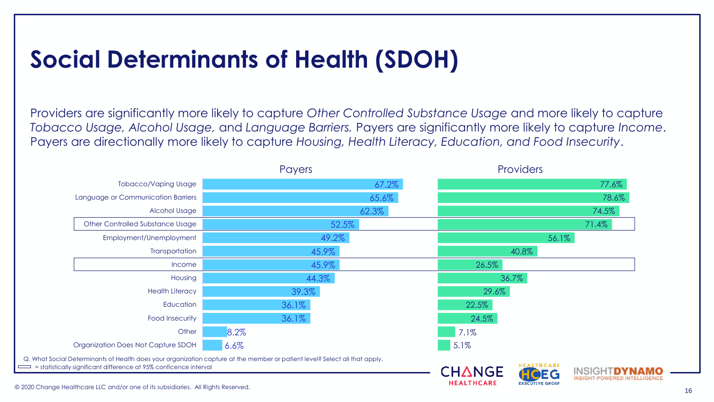# **Social Determinants of Health (SDOH)**

Providers are significantly more likely to capture *Other Controlled Substance Usage* and more likely to capture *Tobacco Usage, Alcohol Usage,* and *Language Barriers.* Payers are significantly more likely to capture *Income*. Payers are directionally more likely to capture *Housing, Health Literacy, Education, and Food Insecurity*.

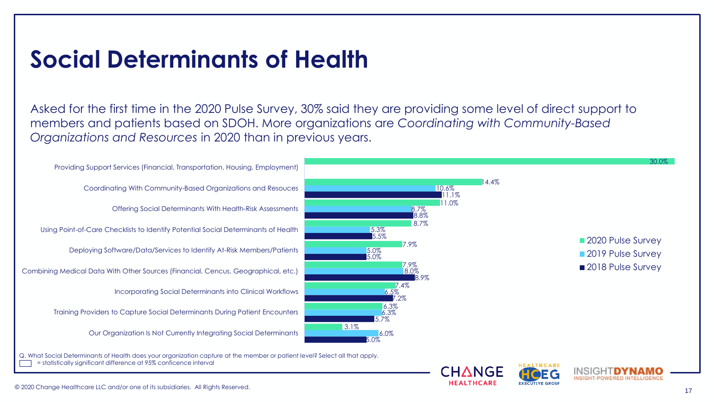#### **Social Determinants of Health**

Asked for the first time in the 2020 Pulse Survey, 30% said they are providing some level of direct support to members and patients based on SDOH. More organizations are *Coordinating with Community-Based Organizations and Resources* in 2020 than in previous years.

Our Organization Is Not Currently Integrating Social Determinants Training Providers to Capture Social Determinants During Patient Encounters Incorporating Social Determinants into Clinical Workflows Combining Medical Data With Other Sources (Financial, Cencus, Geographical, etc.) Deploying Software/Data/Services to Identify At-Risk Members/Patients Using Point-of-Care Checklists to Identify Potential Social Determinants of Health Offering Social Determinants With Health-Risk Assessments Coordinating With Community-Based Organizations and Resouces Providing Support Services (Financial, Transportation, Housing, Employment)



CHANGE

Q. What Social Determinants of Health does your organization capture at the member or patient level? Select all that apply. = statistically significant difference at 95% conficence interval

INSIGHT D

**EXECUTIVE GROUP** 

INSIGHT-POWERED INTELLIGENCE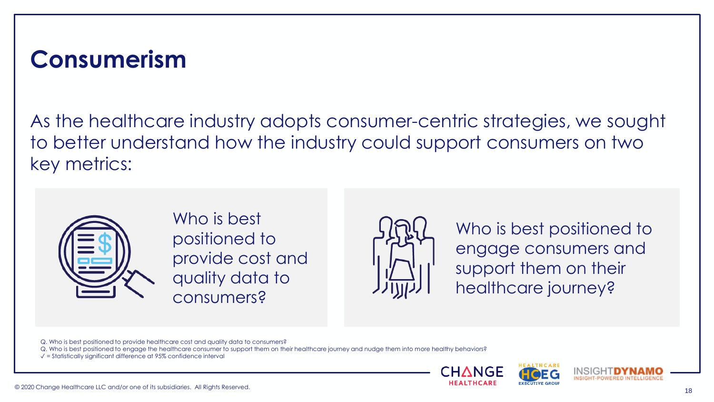#### **Consumerism**

As the healthcare industry adopts consumer-centric strategies, we sought to better understand how the industry could support consumers on two key metrics:



Who is best positioned to provide cost and quality data to consumers?



Who is best positioned to engage consumers and support them on their healthcare journey?

Q. Who is best positioned to provide healthcare cost and quality data to consumers?

Q. Who is best positioned to engage the healthcare consumer to support them on their healthcare journey and nudge them into more healthy behaviors?

 $\sqrt{\ }$  = Statistically significant difference at 95% confidence interval





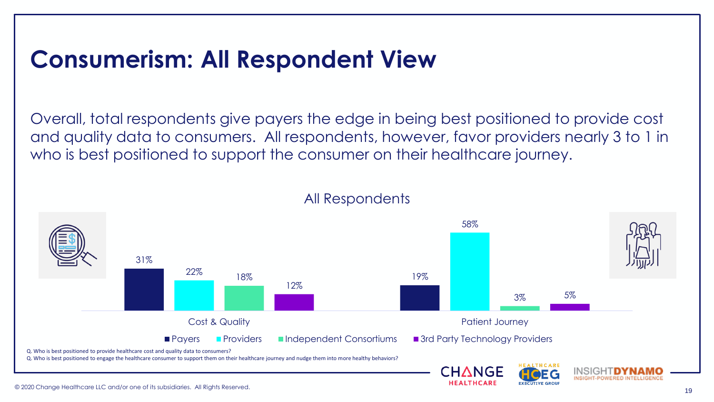#### **Consumerism: All Respondent View**

Overall, total respondents give payers the edge in being best positioned to provide cost and quality data to consumers. All respondents, however, favor providers nearly 3 to 1 in who is best positioned to support the consumer on their healthcare journey.



#### All Respondents

**EXECUTIVE GROU**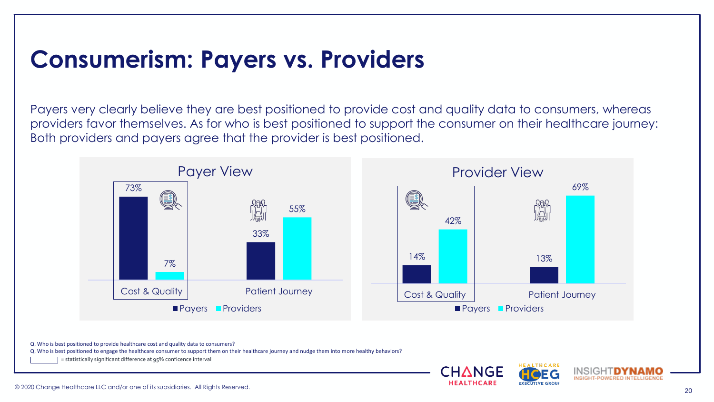#### **Consumerism: Payers vs. Providers**

Payers very clearly believe they are best positioned to provide cost and quality data to consumers, whereas providers favor themselves. As for who is best positioned to support the consumer on their healthcare journey: Both providers and payers agree that the provider is best positioned.



CHANGE

Q. Who is best positioned to provide healthcare cost and quality data to consumers?

Q. Who is best positioned to engage the healthcare consumer to support them on their healthcare journey and nudge them into more healthy behaviors?

= statistically significant difference at 95% conficence interval

INSIGHT **D** 

**EXECUTIVE GROUP** 

INSIGHT-POWERED INTELLIGENCE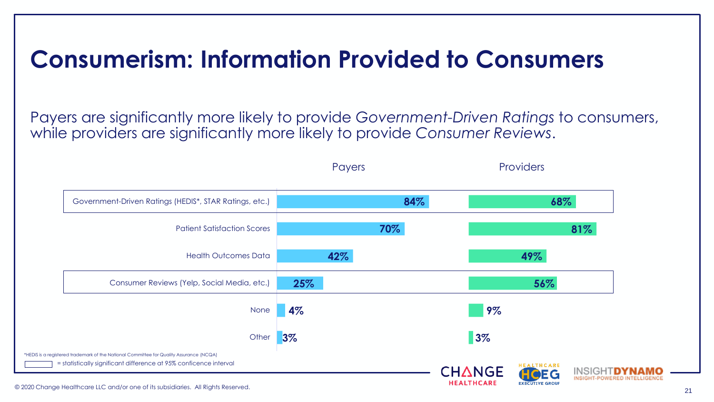#### **Consumerism: Information Provided to Consumers**

Payers are significantly more likely to provide *Government-Driven Ratings* to consumers, while providers are significantly more likely to provide *Consumer Reviews*.

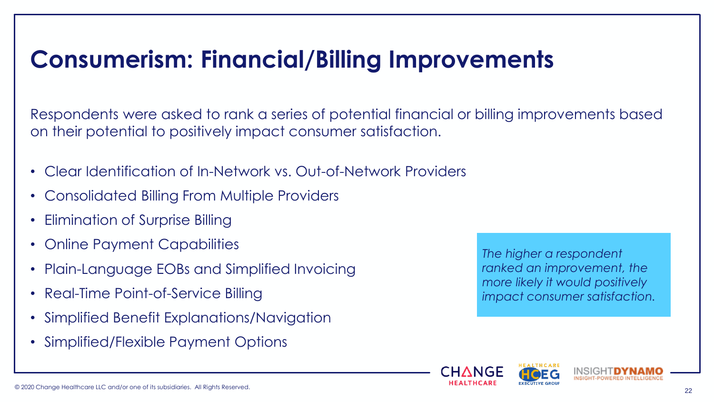# **Consumerism: Financial/Billing Improvements**

Respondents were asked to rank a series of potential financial or billing improvements based on their potential to positively impact consumer satisfaction.

- Clear Identification of In-Network vs. Out-of-Network Providers
- Consolidated Billing From Multiple Providers
- Elimination of Surprise Billing
- Online Payment Capabilities
- Plain-Language EOBs and Simplified Invoicing
- Real-Time Point-of-Service Billing
- Simplified Benefit Explanations/Navigation
- Simplified/Flexible Payment Options

*The higher a respondent ranked an improvement, the more likely it would positively impact consumer satisfaction.*



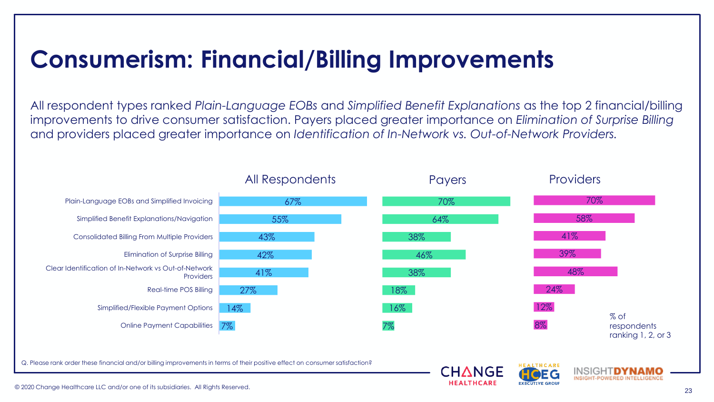# **Consumerism: Financial/Billing Improvements**

All respondent types ranked *Plain-Language EOBs* and *Simplified Benefit Explanations* as the top 2 financial/billing improvements to drive consumer satisfaction. Payers placed greater importance on *Elimination of Surprise Billing* and providers placed greater importance on *Identification of In-Network vs. Out-of-Network Providers.*

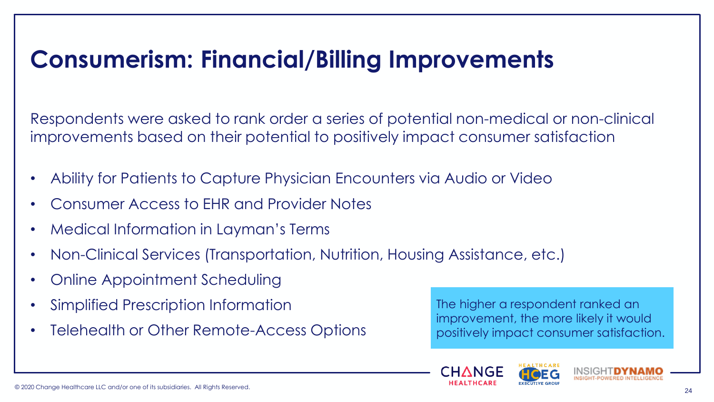### **Consumerism: Financial/Billing Improvements**

Respondents were asked to rank order a series of potential non-medical or non-clinical improvements based on their potential to positively impact consumer satisfaction

- Ability for Patients to Capture Physician Encounters via Audio or Video
- Consumer Access to EHR and Provider Notes
- Medical Information in Layman's Terms
- Non-Clinical Services (Transportation, Nutrition, Housing Assistance, etc.)
- Online Appointment Scheduling
- Simplified Prescription Information
- Telehealth or Other Remote-Access Options

The higher a respondent ranked an improvement, the more likely it would positively impact consumer satisfaction.



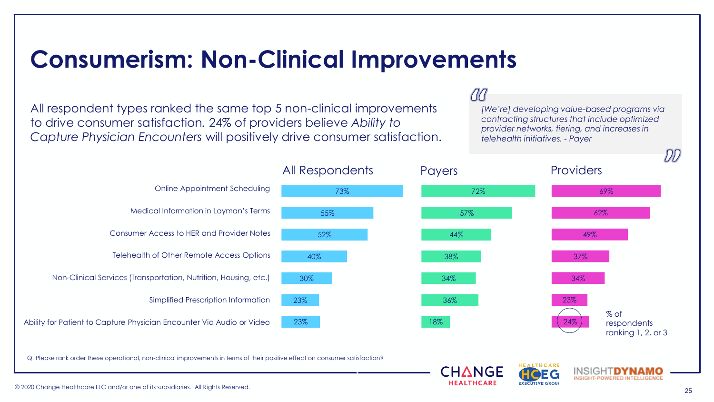#### **Consumerism: Non-Clinical Improvements**

All respondent types ranked the same top 5 non-clinical improvements to drive consumer satisfaction*.* 24% of providers believe *Ability to Capture Physician Encounters* will positively drive consumer satisfaction.

#### $(1)$

CHANGE

*[We're] developing value-based programs via contracting structures that include optimized provider networks, tiering, and increases in telehealth initiatives. - Payer*

> INSIGHT**DYNA** INSIGHT-POWERED INTELLIGENCE



✓

Q. Please rank order these operational, non-clinical improvements in terms of their positive effect on consumer satisfaction?

DD)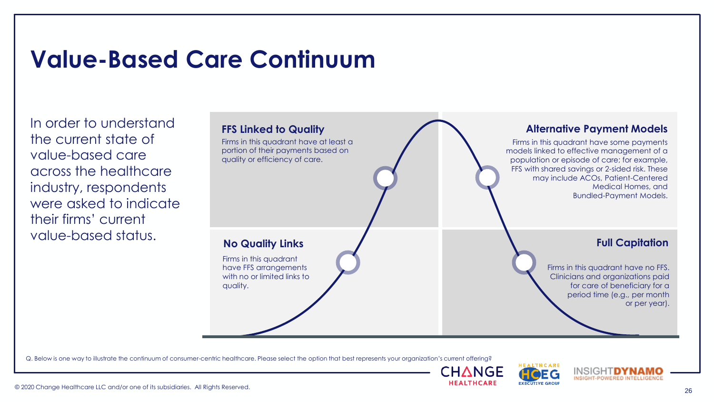# **Value-Based Care Continuum**

In order to understand the current state of value-based care across the healthcare industry, respondents were asked to indicate their firms' current value-based status.



Q. Below is one way to illustrate the continuum of consumer-centric healthcare. Please select the option that best represents your organization's current offering?







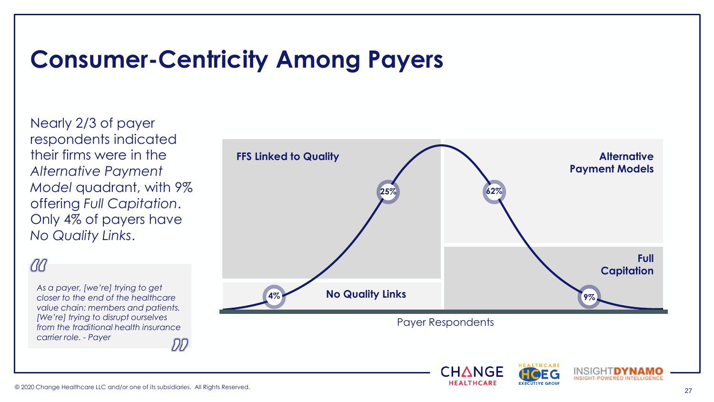#### **Consumer-Centricity Among Payers**

Nearly 2/3 of payer respondents indicated their firms were in the *Alternative Payment Model* quadrant, with 9% offering *Full Capitation*. Only 4% of payers have *No Quality Links*.

#### aa

*As a payer, [we're] trying to get closer to the end of the healthcare value chain: members and patients. [We're] trying to disrupt ourselves from the traditional health insurance carrier role. - Payer* DF

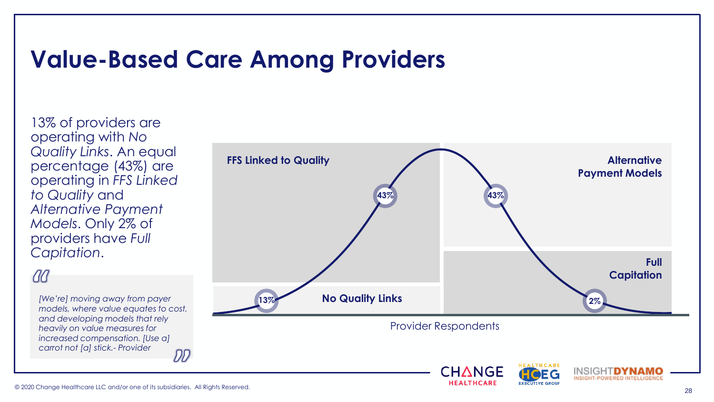#### **Value-Based Care Among Providers**

13% of providers are operating with *No Quality Links*. An equal percentage (43%) are operating in *FFS Linked to Quality* and *Alternative Payment Models*. Only 2% of providers have *Full Capitation*.

#### 00

*models, where value equates to cost, and developing models that rely heavily on value measures for increased compensation. [Use a] carrot not [a] stick.- Provider*

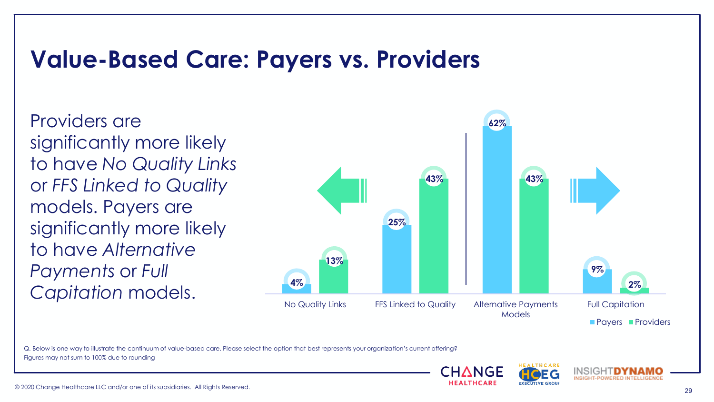#### **Value-Based Care: Payers vs. Providers**

Providers are significantly more likely to have *No Quality Links*  or *FFS Linked to Quality* models. Payers are significantly more likely to have *Alternative Payments* or *Full Capitation* models.



Q. Below is one way to illustrate the continuum of value-based care. Please select the option that best represents your organization's current offering? Figures may not sum to 100% due to rounding



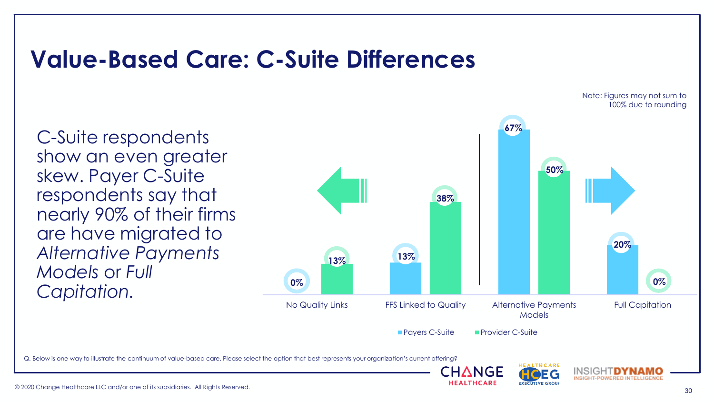#### **Value-Based Care: C-Suite Differences**

C-Suite respondents show an even greater skew. Payer C-Suite respondents say that nearly 90% of their firms are have migrated to *Alternative Payments Models* or *Full Capitation.*



:HANGE

**EXECUTIVE GROUP** 

Q. Below is one way to illustrate the continuum of value-based care. Please select the option that best represents your organization's current offering?



Note: Figures may not sum to

INSIGHTDYN

INSIGHT-POWERED INTELLIGENCE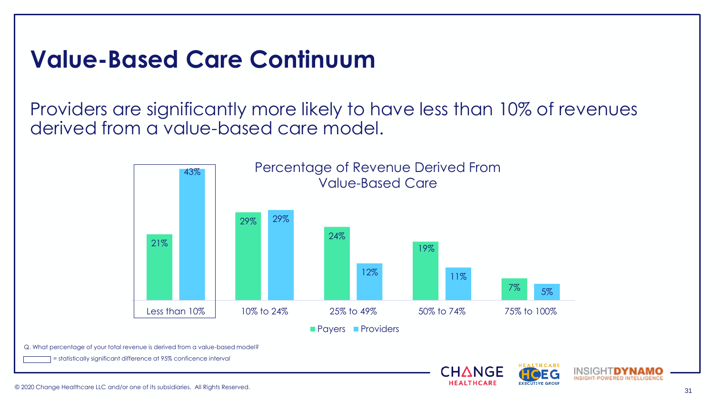# **Value-Based Care Continuum**

Providers are significantly more likely to have less than 10% of revenues derived from a value-based care model.



INSIGHT-POWERED INTELLIGENCE

**EXECUTIVE GROU**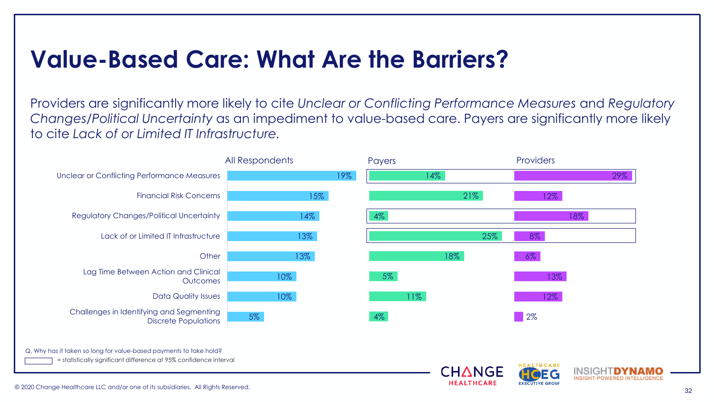### **Value-Based Care: What Are the Barriers?**

Providers are significantly more likely to cite *Unclear or Conflicting Performance Measures* and *Regulatory Changes/Political Uncertainty* as an impediment to value-based care. Payers are significantly more likely to cite *Lack of or Limited IT Infrastructure.*

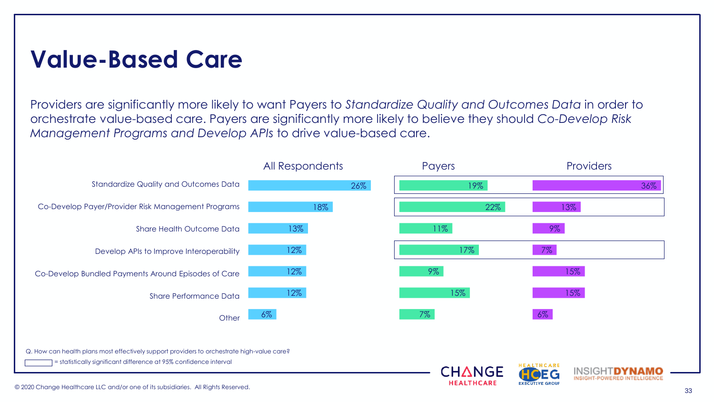#### **Value-Based Care**

Providers are significantly more likely to want Payers to *Standardize Quality and Outcomes Data* in order to orchestrate value-based care. Payers are significantly more likely to believe they should *Co-Develop Risk Management Programs and Develop APIs* to drive value-based care.

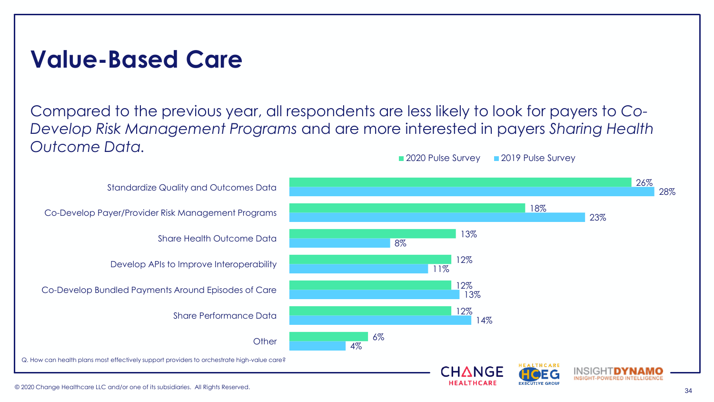#### **Value-Based Care**

Compared to the previous year, all respondents are less likely to look for payers to *Co-Develop Risk Management Programs* and are more interested in payers *Sharing Health Outcome Data.* 2020 Pulse Survey 2019 Pulse Survey

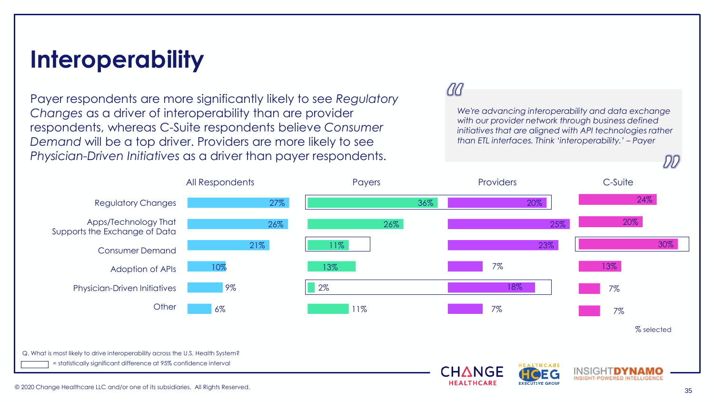#### **Interoperability**

Payer respondents are more significantly likely to see *Regulatory Changes* as a driver of interoperability than are provider respondents, whereas C-Suite respondents believe *Consumer Demand* will be a top driver. Providers are more likely to see *Physician-Driven Initiatives* as a driver than payer respondents.

#### $d\mathcal{C}$

*We're advancing interoperability and data exchange with our provider network through business defined initiatives that are aligned with API technologies rather than ETL interfaces. Think 'interoperability.' – Payer* 



DD)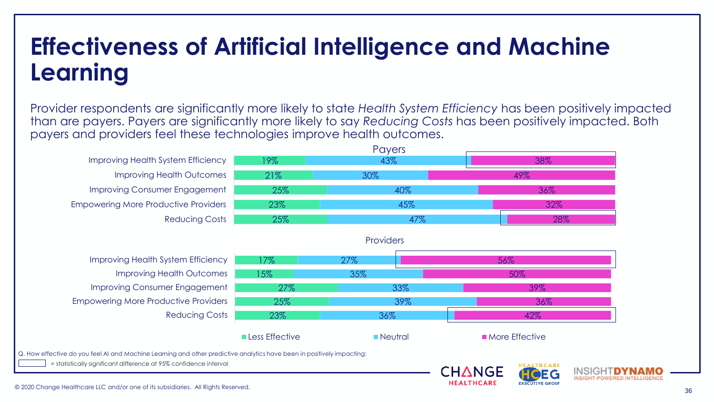# **Effectiveness of Artificial Intelligence and Machine Learning**

Provider respondents are significantly more likely to state *Health System Efficiency* has been positively impacted than are payers. Payers are significantly more likely to say *Reducing Costs* has been positively impacted. Both payers and providers feel these technologies improve health outcomes.

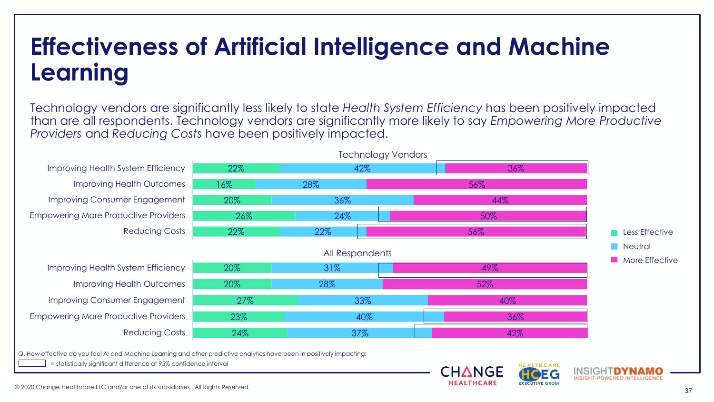# **Effectiveness of Artificial Intelligence and Machine Learning**

Technology vendors are significantly less likely to state *Health System Efficiency* has been positively impacted than are all respondents. Technology vendors are significantly more likely to say *Empowering More Productive Providers* and *Reducing Costs* have been positively impacted.

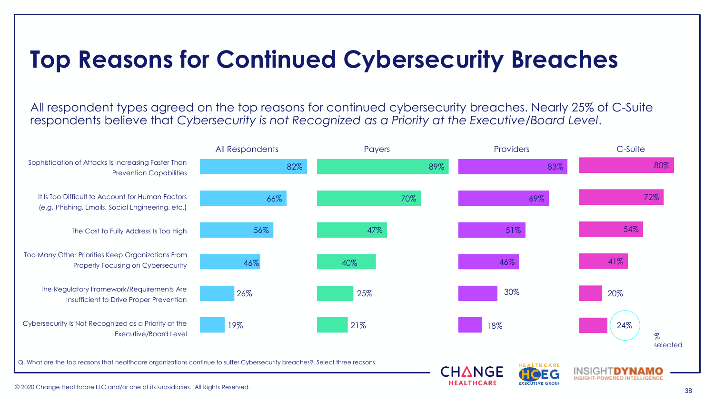# **Top Reasons for Continued Cybersecurity Breaches**

All respondent types agreed on the top reasons for continued cybersecurity breaches. Nearly 25% of C-Suite respondents believe that *Cybersecurity is not Recognized as a Priority at the Executive/Board Level*.

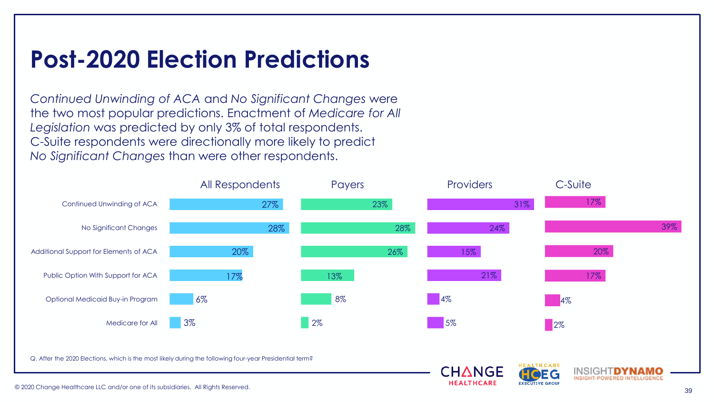# **Post-2020 Election Predictions**

*Continued Unwinding of ACA* and *No Significant Changes* were the two most popular predictions. Enactment of *Medicare for All Legislation* was predicted by only 3% of total respondents. C-Suite respondents were directionally more likely to predict *No Significant Changes* than were other respondents.

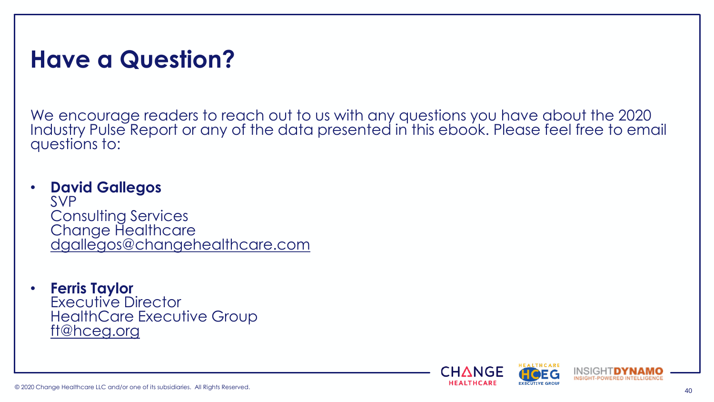#### **Have a Question?**

We encourage readers to reach out to us with any questions you have about the 2020 Industry Pulse Report or any of the data presented in this ebook. Please feel free to email questions to:

#### • **David Gallegos**

SVP Consulting Services Change Healthcare [dgallegos@changehealthcare.com](mailto:dgallegos@changehealthcare.com)

• **Ferris Taylor** Executive Director HealthCare Executive Group [ft@hceg.org](mailto:ft@hceg.org)